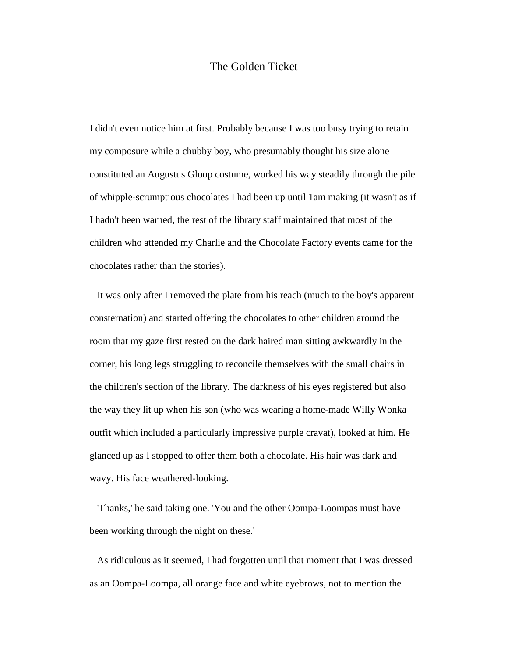## The Golden Ticket

I didn't even notice him at first. Probably because I was too busy trying to retain my composure while a chubby boy, who presumably thought his size alone constituted an Augustus Gloop costume, worked his way steadily through the pile of whipple-scrumptious chocolates I had been up until 1am making (it wasn't as if I hadn't been warned, the rest of the library staff maintained that most of the children who attended my Charlie and the Chocolate Factory events came for the chocolates rather than the stories).

 It was only after I removed the plate from his reach (much to the boy's apparent consternation) and started offering the chocolates to other children around the room that my gaze first rested on the dark haired man sitting awkwardly in the corner, his long legs struggling to reconcile themselves with the small chairs in the children's section of the library. The darkness of his eyes registered but also the way they lit up when his son (who was wearing a home-made Willy Wonka outfit which included a particularly impressive purple cravat), looked at him. He glanced up as I stopped to offer them both a chocolate. His hair was dark and wavy. His face weathered-looking.

 'Thanks,' he said taking one. 'You and the other Oompa-Loompas must have been working through the night on these.'

 As ridiculous as it seemed, I had forgotten until that moment that I was dressed as an Oompa-Loompa, all orange face and white eyebrows, not to mention the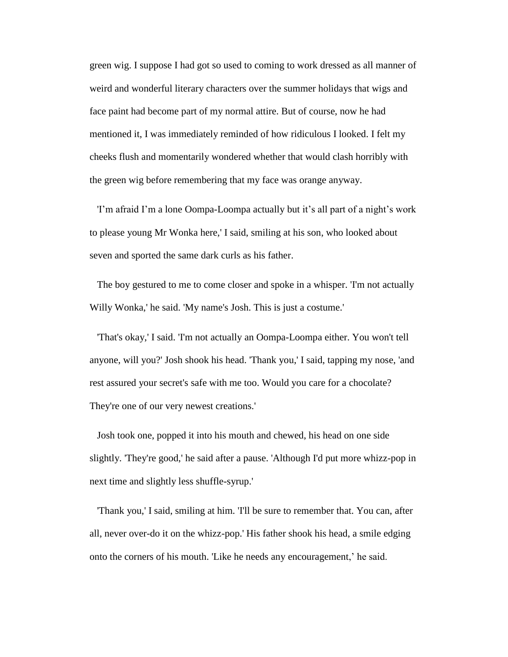green wig. I suppose I had got so used to coming to work dressed as all manner of weird and wonderful literary characters over the summer holidays that wigs and face paint had become part of my normal attire. But of course, now he had mentioned it, I was immediately reminded of how ridiculous I looked. I felt my cheeks flush and momentarily wondered whether that would clash horribly with the green wig before remembering that my face was orange anyway.

 'I'm afraid I'm a lone Oompa-Loompa actually but it's all part of a night's work to please young Mr Wonka here,' I said, smiling at his son, who looked about seven and sported the same dark curls as his father.

 The boy gestured to me to come closer and spoke in a whisper. 'I'm not actually Willy Wonka,' he said. 'My name's Josh. This is just a costume.'

 'That's okay,' I said. 'I'm not actually an Oompa-Loompa either. You won't tell anyone, will you?' Josh shook his head. 'Thank you,' I said, tapping my nose, 'and rest assured your secret's safe with me too. Would you care for a chocolate? They're one of our very newest creations.'

 Josh took one, popped it into his mouth and chewed, his head on one side slightly. 'They're good,' he said after a pause. 'Although I'd put more whizz-pop in next time and slightly less shuffle-syrup.'

 'Thank you,' I said, smiling at him. 'I'll be sure to remember that. You can, after all, never over-do it on the whizz-pop.' His father shook his head, a smile edging onto the corners of his mouth. 'Like he needs any encouragement,' he said.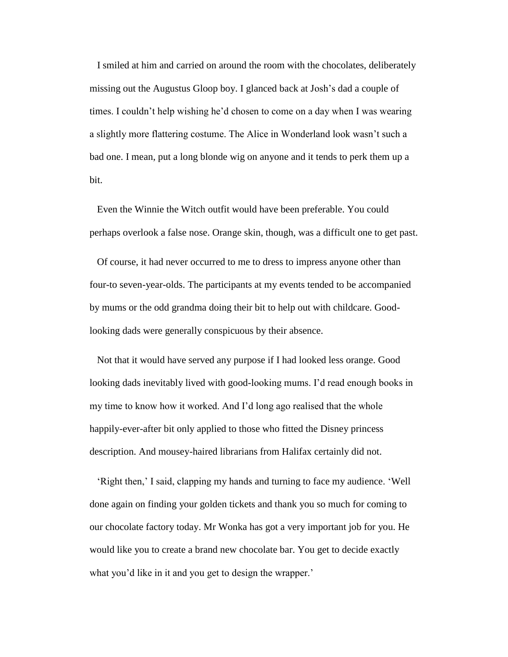I smiled at him and carried on around the room with the chocolates, deliberately missing out the Augustus Gloop boy. I glanced back at Josh's dad a couple of times. I couldn't help wishing he'd chosen to come on a day when I was wearing a slightly more flattering costume. The Alice in Wonderland look wasn't such a bad one. I mean, put a long blonde wig on anyone and it tends to perk them up a bit.

 Even the Winnie the Witch outfit would have been preferable. You could perhaps overlook a false nose. Orange skin, though, was a difficult one to get past.

 Of course, it had never occurred to me to dress to impress anyone other than four-to seven-year-olds. The participants at my events tended to be accompanied by mums or the odd grandma doing their bit to help out with childcare. Goodlooking dads were generally conspicuous by their absence.

 Not that it would have served any purpose if I had looked less orange. Good looking dads inevitably lived with good-looking mums. I'd read enough books in my time to know how it worked. And I'd long ago realised that the whole happily-ever-after bit only applied to those who fitted the Disney princess description. And mousey-haired librarians from Halifax certainly did not.

 'Right then,' I said, clapping my hands and turning to face my audience. 'Well done again on finding your golden tickets and thank you so much for coming to our chocolate factory today. Mr Wonka has got a very important job for you. He would like you to create a brand new chocolate bar. You get to decide exactly what you'd like in it and you get to design the wrapper.'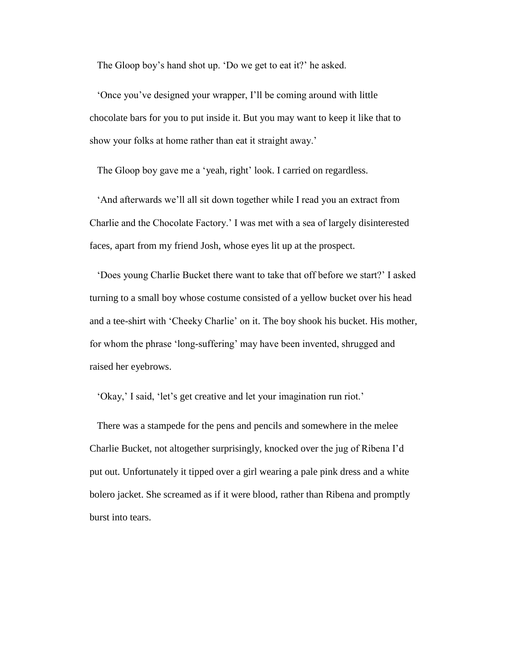The Gloop boy's hand shot up. 'Do we get to eat it?' he asked.

 'Once you've designed your wrapper, I'll be coming around with little chocolate bars for you to put inside it. But you may want to keep it like that to show your folks at home rather than eat it straight away.'

The Gloop boy gave me a 'yeah, right' look. I carried on regardless.

 'And afterwards we'll all sit down together while I read you an extract from Charlie and the Chocolate Factory.' I was met with a sea of largely disinterested faces, apart from my friend Josh, whose eyes lit up at the prospect.

 'Does young Charlie Bucket there want to take that off before we start?' I asked turning to a small boy whose costume consisted of a yellow bucket over his head and a tee-shirt with 'Cheeky Charlie' on it. The boy shook his bucket. His mother, for whom the phrase 'long-suffering' may have been invented, shrugged and raised her eyebrows.

'Okay,' I said, 'let's get creative and let your imagination run riot.'

 There was a stampede for the pens and pencils and somewhere in the melee Charlie Bucket, not altogether surprisingly, knocked over the jug of Ribena I'd put out. Unfortunately it tipped over a girl wearing a pale pink dress and a white bolero jacket. She screamed as if it were blood, rather than Ribena and promptly burst into tears.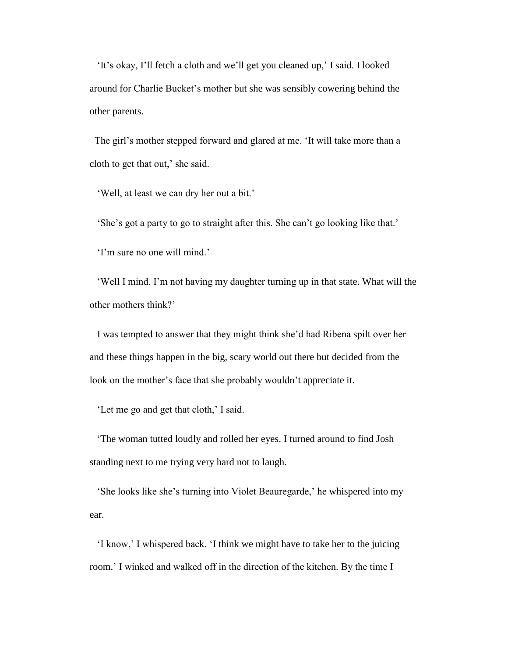'It's okay, I'll fetch a cloth and we'll get you cleaned up,' I said. I looked around for Charlie Bucket's mother but she was sensibly cowering behind the other parents.

The girl's mother stepped forward and glared at me. 'It will take more than a cloth to get that out,' she said.

'Well, at least we can dry her out a bit.'

'She's got a party to go to straight after this. She can't go looking like that.'

'I'm sure no one will mind.'

 'Well I mind. I'm not having my daughter turning up in that state. What will the other mothers think?'

 I was tempted to answer that they might think she'd had Ribena spilt over her and these things happen in the big, scary world out there but decided from the look on the mother's face that she probably wouldn't appreciate it.

'Let me go and get that cloth,' I said.

 'The woman tutted loudly and rolled her eyes. I turned around to find Josh standing next to me trying very hard not to laugh.

 'She looks like she's turning into Violet Beauregarde,' he whispered into my ear.

 'I know,' I whispered back. 'I think we might have to take her to the juicing room.' I winked and walked off in the direction of the kitchen. By the time I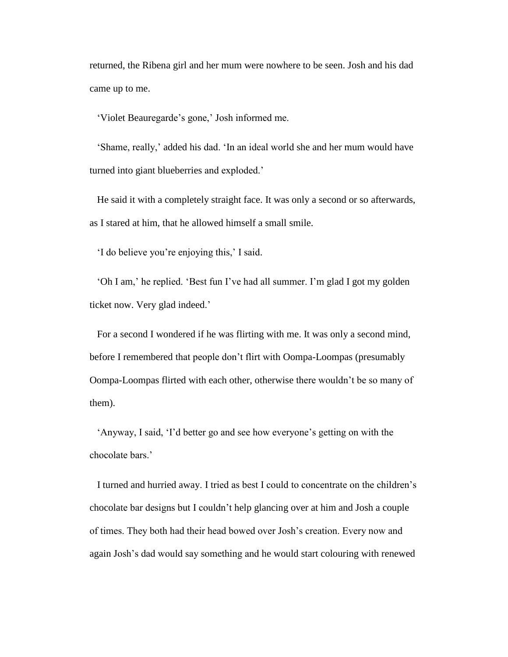returned, the Ribena girl and her mum were nowhere to be seen. Josh and his dad came up to me.

'Violet Beauregarde's gone,' Josh informed me.

 'Shame, really,' added his dad. 'In an ideal world she and her mum would have turned into giant blueberries and exploded.'

 He said it with a completely straight face. It was only a second or so afterwards, as I stared at him, that he allowed himself a small smile.

'I do believe you're enjoying this,' I said.

 'Oh I am,' he replied. 'Best fun I've had all summer. I'm glad I got my golden ticket now. Very glad indeed.'

 For a second I wondered if he was flirting with me. It was only a second mind, before I remembered that people don't flirt with Oompa-Loompas (presumably Oompa-Loompas flirted with each other, otherwise there wouldn't be so many of them).

 'Anyway, I said, 'I'd better go and see how everyone's getting on with the chocolate bars.'

 I turned and hurried away. I tried as best I could to concentrate on the children's chocolate bar designs but I couldn't help glancing over at him and Josh a couple of times. They both had their head bowed over Josh's creation. Every now and again Josh's dad would say something and he would start colouring with renewed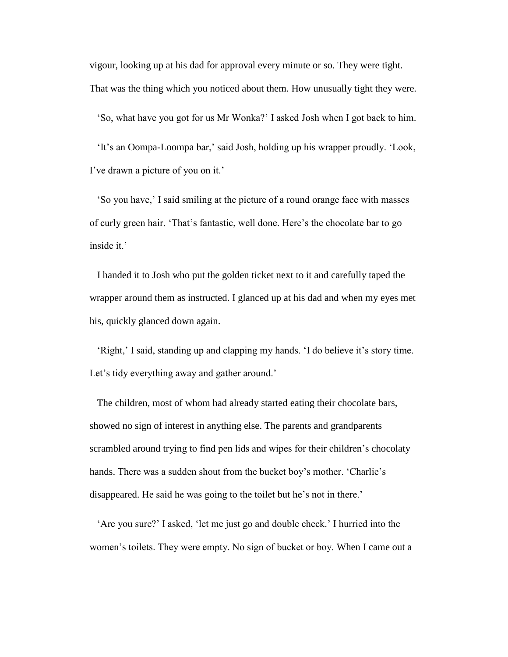vigour, looking up at his dad for approval every minute or so. They were tight. That was the thing which you noticed about them. How unusually tight they were.

'So, what have you got for us Mr Wonka?' I asked Josh when I got back to him.

 'It's an Oompa-Loompa bar,' said Josh, holding up his wrapper proudly. 'Look, I've drawn a picture of you on it.'

 'So you have,' I said smiling at the picture of a round orange face with masses of curly green hair. 'That's fantastic, well done. Here's the chocolate bar to go inside it.'

 I handed it to Josh who put the golden ticket next to it and carefully taped the wrapper around them as instructed. I glanced up at his dad and when my eyes met his, quickly glanced down again.

 'Right,' I said, standing up and clapping my hands. 'I do believe it's story time. Let's tidy everything away and gather around.'

 The children, most of whom had already started eating their chocolate bars, showed no sign of interest in anything else. The parents and grandparents scrambled around trying to find pen lids and wipes for their children's chocolaty hands. There was a sudden shout from the bucket boy's mother. 'Charlie's disappeared. He said he was going to the toilet but he's not in there.'

 'Are you sure?' I asked, 'let me just go and double check.' I hurried into the women's toilets. They were empty. No sign of bucket or boy. When I came out a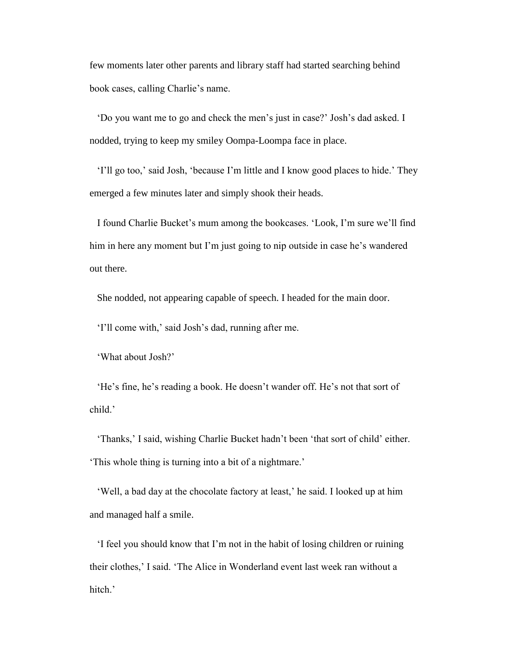few moments later other parents and library staff had started searching behind book cases, calling Charlie's name.

 'Do you want me to go and check the men's just in case?' Josh's dad asked. I nodded, trying to keep my smiley Oompa-Loompa face in place.

 'I'll go too,' said Josh, 'because I'm little and I know good places to hide.' They emerged a few minutes later and simply shook their heads.

 I found Charlie Bucket's mum among the bookcases. 'Look, I'm sure we'll find him in here any moment but I'm just going to nip outside in case he's wandered out there.

She nodded, not appearing capable of speech. I headed for the main door.

'I'll come with,' said Josh's dad, running after me.

'What about Josh?'

 'He's fine, he's reading a book. He doesn't wander off. He's not that sort of child.'

 'Thanks,' I said, wishing Charlie Bucket hadn't been 'that sort of child' either. 'This whole thing is turning into a bit of a nightmare.'

 'Well, a bad day at the chocolate factory at least,' he said. I looked up at him and managed half a smile.

 'I feel you should know that I'm not in the habit of losing children or ruining their clothes,' I said. 'The Alice in Wonderland event last week ran without a hitch.'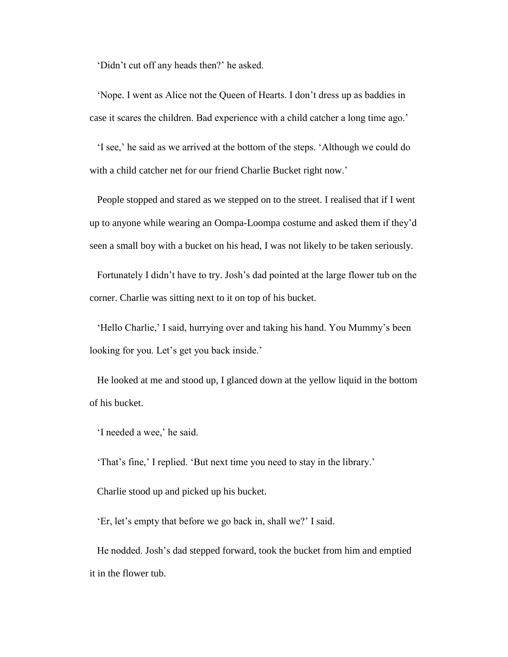'Didn't cut off any heads then?' he asked.

 'Nope. I went as Alice not the Queen of Hearts. I don't dress up as baddies in case it scares the children. Bad experience with a child catcher a long time ago.'

 'I see,' he said as we arrived at the bottom of the steps. 'Although we could do with a child catcher net for our friend Charlie Bucket right now.'

 People stopped and stared as we stepped on to the street. I realised that if I went up to anyone while wearing an Oompa-Loompa costume and asked them if they'd seen a small boy with a bucket on his head, I was not likely to be taken seriously.

 Fortunately I didn't have to try. Josh's dad pointed at the large flower tub on the corner. Charlie was sitting next to it on top of his bucket.

 'Hello Charlie,' I said, hurrying over and taking his hand. You Mummy's been looking for you. Let's get you back inside.'

 He looked at me and stood up, I glanced down at the yellow liquid in the bottom of his bucket.

'I needed a wee,' he said.

'That's fine,' I replied. 'But next time you need to stay in the library.'

Charlie stood up and picked up his bucket.

'Er, let's empty that before we go back in, shall we?' I said.

 He nodded. Josh's dad stepped forward, took the bucket from him and emptied it in the flower tub.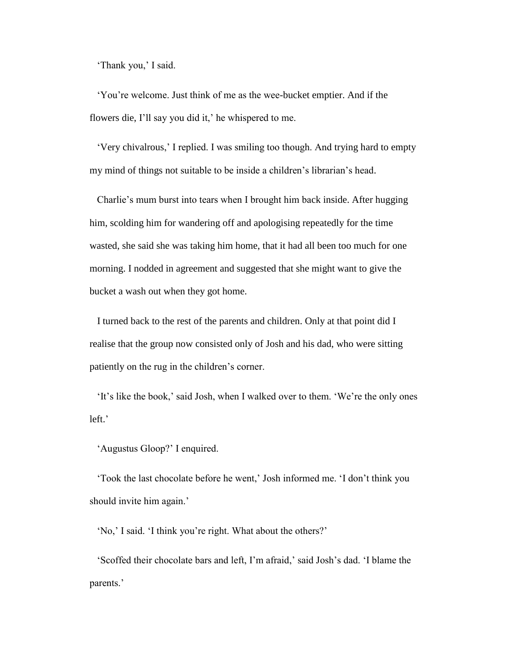'Thank you,' I said.

 'You're welcome. Just think of me as the wee-bucket emptier. And if the flowers die, I'll say you did it,' he whispered to me.

 'Very chivalrous,' I replied. I was smiling too though. And trying hard to empty my mind of things not suitable to be inside a children's librarian's head.

 Charlie's mum burst into tears when I brought him back inside. After hugging him, scolding him for wandering off and apologising repeatedly for the time wasted, she said she was taking him home, that it had all been too much for one morning. I nodded in agreement and suggested that she might want to give the bucket a wash out when they got home.

 I turned back to the rest of the parents and children. Only at that point did I realise that the group now consisted only of Josh and his dad, who were sitting patiently on the rug in the children's corner.

 'It's like the book,' said Josh, when I walked over to them. 'We're the only ones left.'

'Augustus Gloop?' I enquired.

 'Took the last chocolate before he went,' Josh informed me. 'I don't think you should invite him again.'

'No,' I said. 'I think you're right. What about the others?'

 'Scoffed their chocolate bars and left, I'm afraid,' said Josh's dad. 'I blame the parents.'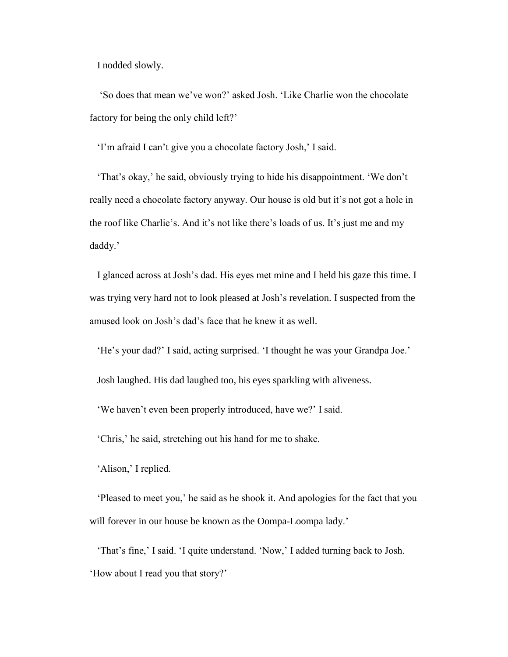I nodded slowly.

 'So does that mean we've won?' asked Josh. 'Like Charlie won the chocolate factory for being the only child left?'

'I'm afraid I can't give you a chocolate factory Josh,' I said.

 'That's okay,' he said, obviously trying to hide his disappointment. 'We don't really need a chocolate factory anyway. Our house is old but it's not got a hole in the roof like Charlie's. And it's not like there's loads of us. It's just me and my daddy.'

 I glanced across at Josh's dad. His eyes met mine and I held his gaze this time. I was trying very hard not to look pleased at Josh's revelation. I suspected from the amused look on Josh's dad's face that he knew it as well.

'He's your dad?' I said, acting surprised. 'I thought he was your Grandpa Joe.'

Josh laughed. His dad laughed too, his eyes sparkling with aliveness.

'We haven't even been properly introduced, have we?' I said.

'Chris,' he said, stretching out his hand for me to shake.

'Alison,' I replied.

 'Pleased to meet you,' he said as he shook it. And apologies for the fact that you will forever in our house be known as the Oompa-Loompa lady.'

 'That's fine,' I said. 'I quite understand. 'Now,' I added turning back to Josh. 'How about I read you that story?'